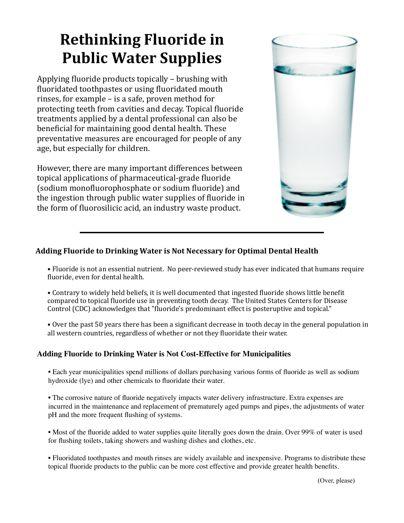# **Rethinking Fluoride in Public Water Supplies**

Applying fluoride products topically  $-$  brushing with fluoridated toothpastes or using fluoridated mouth rinses, for example  $-$  is a safe, proven method for protecting teeth from cavities and decay. Topical fluoride treatments applied by a dental professional can also be beneficial for maintaining good dental health. These preventative measures are encouraged for people of any age, but especially for children.

However, there are many important differences between topical applications of pharmaceutical-grade fluoride (sodium monofluorophosphate or sodium fluoride) and the ingestion through public water supplies of fluoride in the form of fluorosilicic acid, an industry waste product.



# Adding Fluoride to Drinking Water is Not Necessary for Optimal Dental Health

• Fluoride is not an essential nutrient. No peer-reviewed study has ever indicated that humans require fluoride, even for dental health.

- Contrary to widely held beliefs, it is well documented that ingested fluoride shows little benefit compared to topical fluoride use in preventing tooth decay. The United States Centers for Disease Control (CDC) acknowledges that "fluoride's predominant effect is posteruptive and topical."
- Over the past 50 years there has been a significant decrease in tooth decay in the general population in all western countries, regardless of whether or not they fluoridate their water.

## **Adding Fluoride to Drinking Water is Not Cost-Effective for Municipalities**

• Each year municipalities spend millions of dollars purchasing various forms of fluoride as well as sodium hydroxide (lye) and other chemicals to fluoridate their water.

• The corrosive nature of fluoride negatively impacts water delivery infrastructure. Extra expenses are incurred in the maintenance and replacement of prematurely aged pumps and pipes, the adjustments of water pH and the more frequent flushing of systems.

• Most of the fluoride added to water supplies quite literally goes down the drain. Over 99% of water is used for flushing toilets, taking showers and washing dishes and clothes, etc.

• Fluoridated toothpastes and mouth rinses are widely available and inexpensive. Programs to distribute these topical fluoride products to the public can be more cost effective and provide greater health benefits.